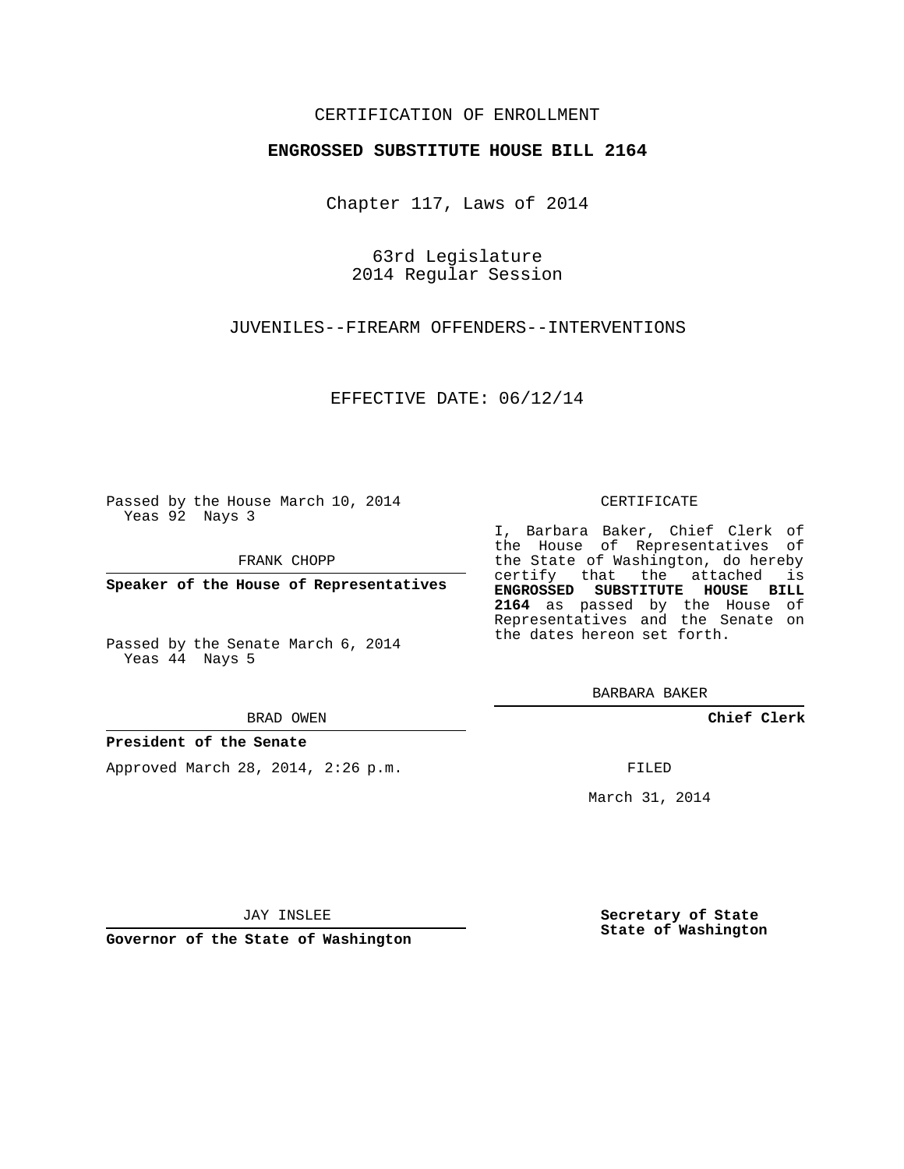### CERTIFICATION OF ENROLLMENT

#### **ENGROSSED SUBSTITUTE HOUSE BILL 2164**

Chapter 117, Laws of 2014

63rd Legislature 2014 Regular Session

JUVENILES--FIREARM OFFENDERS--INTERVENTIONS

EFFECTIVE DATE: 06/12/14

Passed by the House March 10, 2014 Yeas 92 Nays 3

FRANK CHOPP

**Speaker of the House of Representatives**

Passed by the Senate March 6, 2014 Yeas 44 Nays 5

BRAD OWEN

#### **President of the Senate**

Approved March 28, 2014, 2:26 p.m.

CERTIFICATE

I, Barbara Baker, Chief Clerk of the House of Representatives of the State of Washington, do hereby certify that the attached is **ENGROSSED SUBSTITUTE HOUSE BILL 2164** as passed by the House of Representatives and the Senate on the dates hereon set forth.

BARBARA BAKER

**Chief Clerk**

FILED

March 31, 2014

JAY INSLEE

**Governor of the State of Washington**

**Secretary of State State of Washington**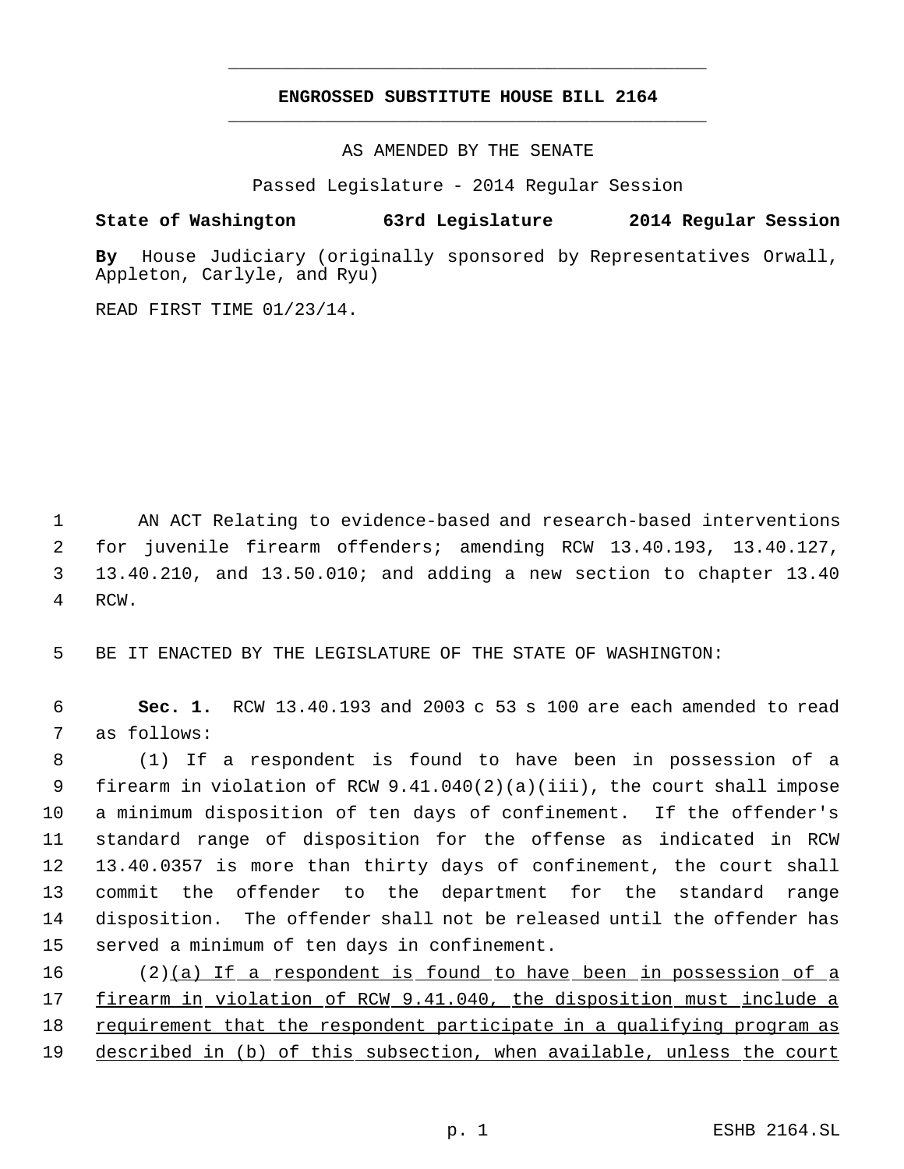# **ENGROSSED SUBSTITUTE HOUSE BILL 2164** \_\_\_\_\_\_\_\_\_\_\_\_\_\_\_\_\_\_\_\_\_\_\_\_\_\_\_\_\_\_\_\_\_\_\_\_\_\_\_\_\_\_\_\_\_

\_\_\_\_\_\_\_\_\_\_\_\_\_\_\_\_\_\_\_\_\_\_\_\_\_\_\_\_\_\_\_\_\_\_\_\_\_\_\_\_\_\_\_\_\_

AS AMENDED BY THE SENATE

Passed Legislature - 2014 Regular Session

## **State of Washington 63rd Legislature 2014 Regular Session**

**By** House Judiciary (originally sponsored by Representatives Orwall, Appleton, Carlyle, and Ryu)

READ FIRST TIME 01/23/14.

 AN ACT Relating to evidence-based and research-based interventions for juvenile firearm offenders; amending RCW 13.40.193, 13.40.127, 13.40.210, and 13.50.010; and adding a new section to chapter 13.40 4 RCW.

5 BE IT ENACTED BY THE LEGISLATURE OF THE STATE OF WASHINGTON:

 6 **Sec. 1.** RCW 13.40.193 and 2003 c 53 s 100 are each amended to read 7 as follows:

 (1) If a respondent is found to have been in possession of a firearm in violation of RCW 9.41.040(2)(a)(iii), the court shall impose a minimum disposition of ten days of confinement. If the offender's standard range of disposition for the offense as indicated in RCW 13.40.0357 is more than thirty days of confinement, the court shall commit the offender to the department for the standard range disposition. The offender shall not be released until the offender has served a minimum of ten days in confinement.

16 (2)(a) If a respondent is found to have been in possession of a 17 firearm in violation of RCW 9.41.040, the disposition must include a 18 requirement that the respondent participate in a qualifying program as 19 described in (b) of this subsection, when available, unless the court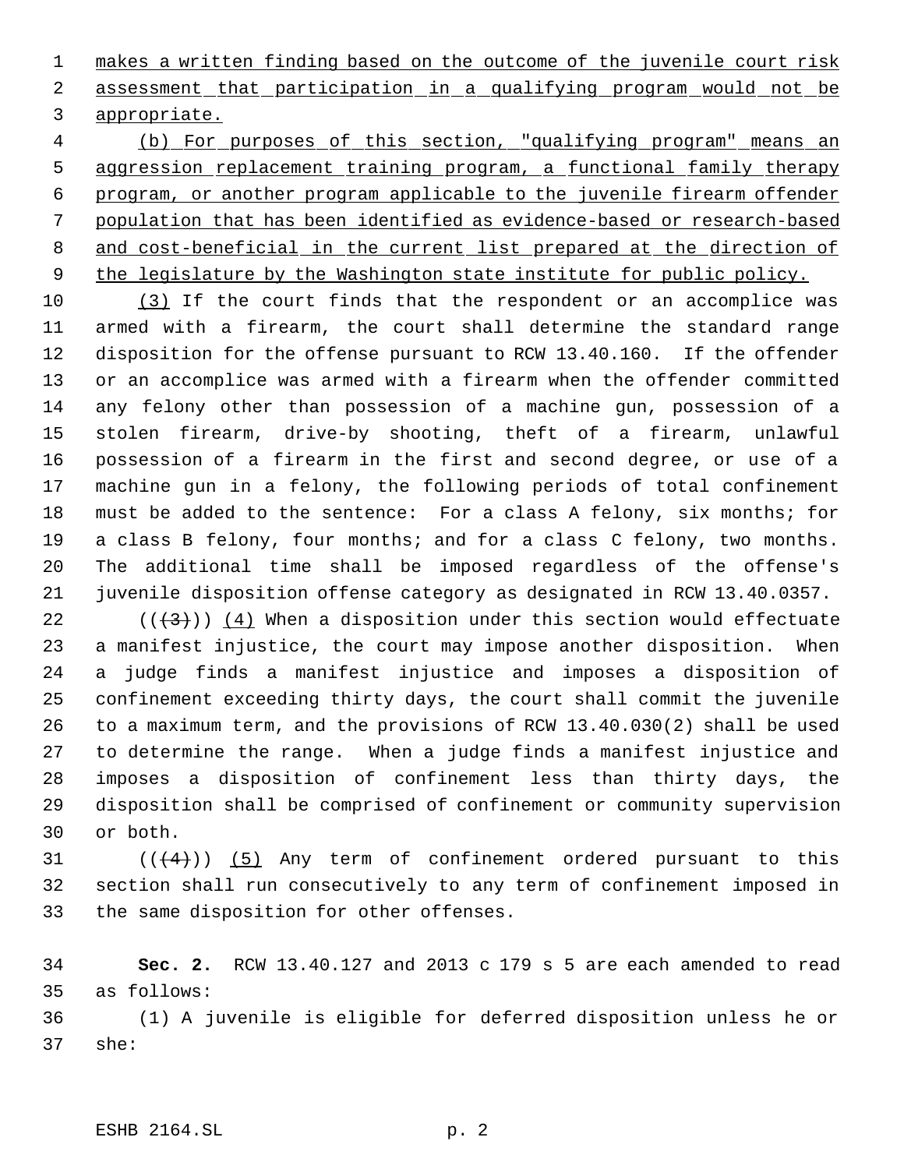1 makes a written finding based on the outcome of the juvenile court risk 2 assessment that participation in a qualifying program would not be appropriate.

 (b) For purposes of this section, "qualifying program" means an aggression replacement training program, a functional family therapy program, or another program applicable to the juvenile firearm offender population that has been identified as evidence-based or research-based and cost-beneficial in the current list prepared at the direction of 9 the legislature by the Washington state institute for public policy.

 (3) If the court finds that the respondent or an accomplice was armed with a firearm, the court shall determine the standard range disposition for the offense pursuant to RCW 13.40.160. If the offender or an accomplice was armed with a firearm when the offender committed any felony other than possession of a machine gun, possession of a stolen firearm, drive-by shooting, theft of a firearm, unlawful possession of a firearm in the first and second degree, or use of a machine gun in a felony, the following periods of total confinement must be added to the sentence: For a class A felony, six months; for a class B felony, four months; and for a class C felony, two months. The additional time shall be imposed regardless of the offense's juvenile disposition offense category as designated in RCW 13.40.0357.

 $((+3))$  (4) When a disposition under this section would effectuate a manifest injustice, the court may impose another disposition. When a judge finds a manifest injustice and imposes a disposition of confinement exceeding thirty days, the court shall commit the juvenile to a maximum term, and the provisions of RCW 13.40.030(2) shall be used to determine the range. When a judge finds a manifest injustice and imposes a disposition of confinement less than thirty days, the disposition shall be comprised of confinement or community supervision or both.

31  $((4+))$  (5) Any term of confinement ordered pursuant to this section shall run consecutively to any term of confinement imposed in the same disposition for other offenses.

 **Sec. 2.** RCW 13.40.127 and 2013 c 179 s 5 are each amended to read as follows:

 (1) A juvenile is eligible for deferred disposition unless he or she: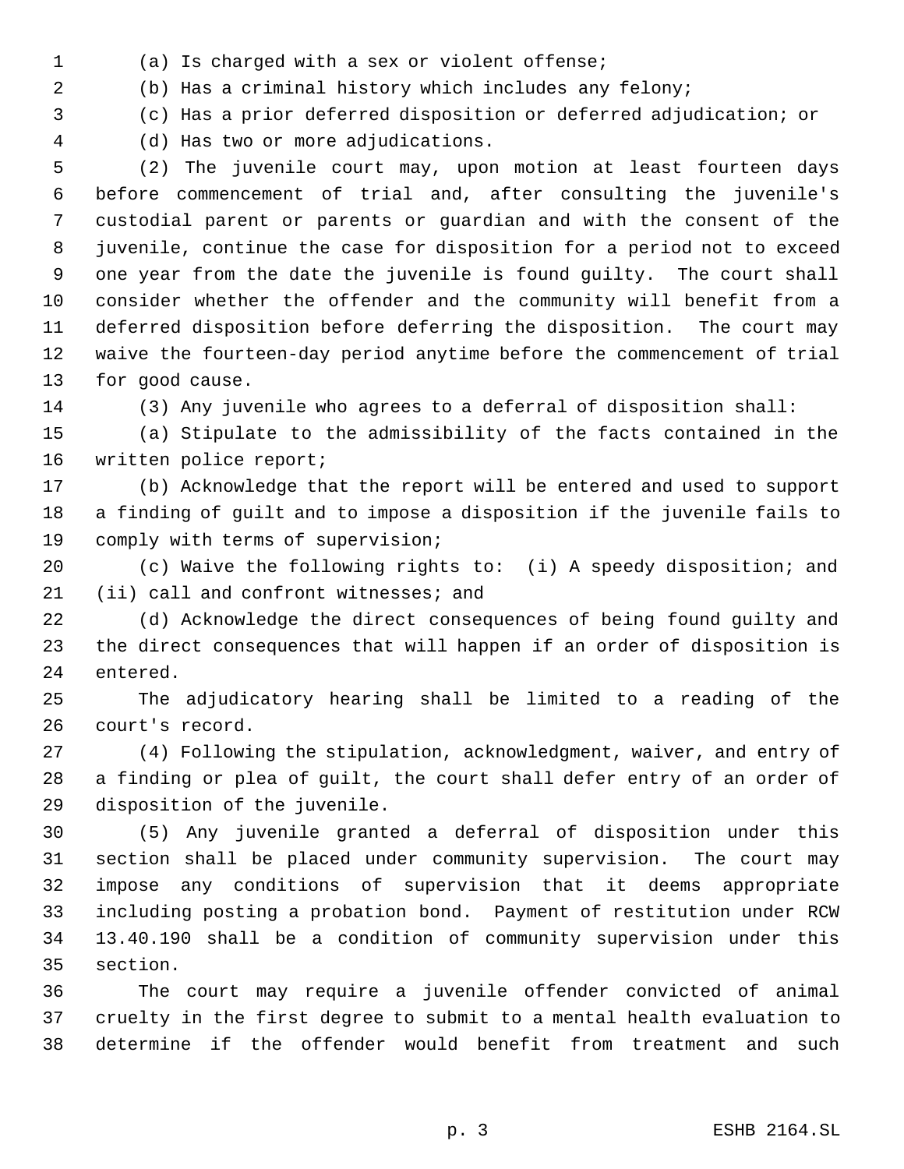- 
- (a) Is charged with a sex or violent offense;

(b) Has a criminal history which includes any felony;

(c) Has a prior deferred disposition or deferred adjudication; or

(d) Has two or more adjudications.

 (2) The juvenile court may, upon motion at least fourteen days before commencement of trial and, after consulting the juvenile's custodial parent or parents or guardian and with the consent of the juvenile, continue the case for disposition for a period not to exceed one year from the date the juvenile is found guilty. The court shall consider whether the offender and the community will benefit from a deferred disposition before deferring the disposition. The court may waive the fourteen-day period anytime before the commencement of trial for good cause.

(3) Any juvenile who agrees to a deferral of disposition shall:

 (a) Stipulate to the admissibility of the facts contained in the written police report;

 (b) Acknowledge that the report will be entered and used to support a finding of guilt and to impose a disposition if the juvenile fails to comply with terms of supervision;

 (c) Waive the following rights to: (i) A speedy disposition; and (ii) call and confront witnesses; and

 (d) Acknowledge the direct consequences of being found guilty and the direct consequences that will happen if an order of disposition is entered.

 The adjudicatory hearing shall be limited to a reading of the court's record.

 (4) Following the stipulation, acknowledgment, waiver, and entry of a finding or plea of guilt, the court shall defer entry of an order of disposition of the juvenile.

 (5) Any juvenile granted a deferral of disposition under this section shall be placed under community supervision. The court may impose any conditions of supervision that it deems appropriate including posting a probation bond. Payment of restitution under RCW 13.40.190 shall be a condition of community supervision under this section.

 The court may require a juvenile offender convicted of animal cruelty in the first degree to submit to a mental health evaluation to determine if the offender would benefit from treatment and such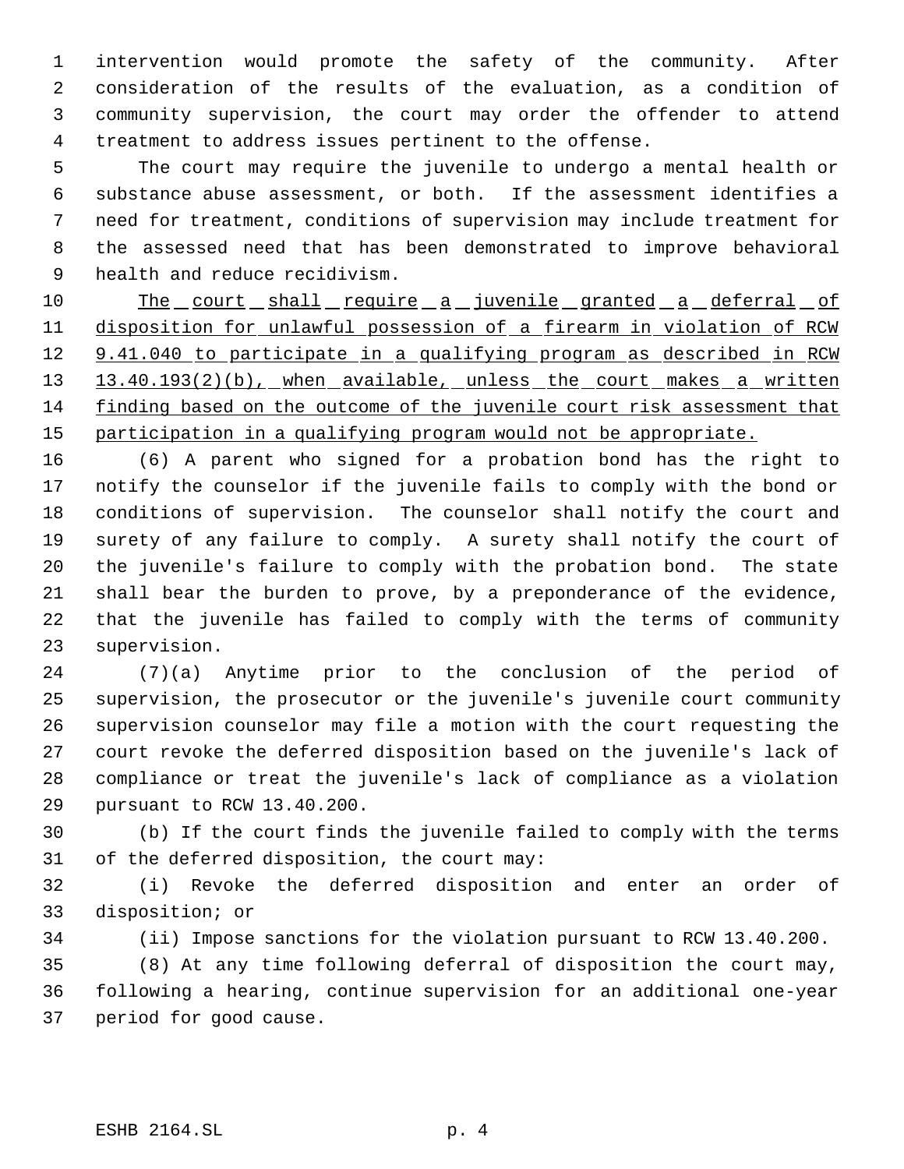intervention would promote the safety of the community. After consideration of the results of the evaluation, as a condition of community supervision, the court may order the offender to attend treatment to address issues pertinent to the offense.

 The court may require the juvenile to undergo a mental health or substance abuse assessment, or both. If the assessment identifies a need for treatment, conditions of supervision may include treatment for the assessed need that has been demonstrated to improve behavioral health and reduce recidivism.

10 The court shall require a juvenile granted a deferral of disposition for unlawful possession of a firearm in violation of RCW 12 9.41.040 to participate in a qualifying program as described in RCW 13 13.40.193(2)(b), when available, unless the court makes a written finding based on the outcome of the juvenile court risk assessment that 15 participation in a qualifying program would not be appropriate.

 (6) A parent who signed for a probation bond has the right to notify the counselor if the juvenile fails to comply with the bond or conditions of supervision. The counselor shall notify the court and surety of any failure to comply. A surety shall notify the court of the juvenile's failure to comply with the probation bond. The state shall bear the burden to prove, by a preponderance of the evidence, that the juvenile has failed to comply with the terms of community supervision.

 (7)(a) Anytime prior to the conclusion of the period of supervision, the prosecutor or the juvenile's juvenile court community supervision counselor may file a motion with the court requesting the court revoke the deferred disposition based on the juvenile's lack of compliance or treat the juvenile's lack of compliance as a violation pursuant to RCW 13.40.200.

 (b) If the court finds the juvenile failed to comply with the terms of the deferred disposition, the court may:

 (i) Revoke the deferred disposition and enter an order of disposition; or

(ii) Impose sanctions for the violation pursuant to RCW 13.40.200.

 (8) At any time following deferral of disposition the court may, following a hearing, continue supervision for an additional one-year period for good cause.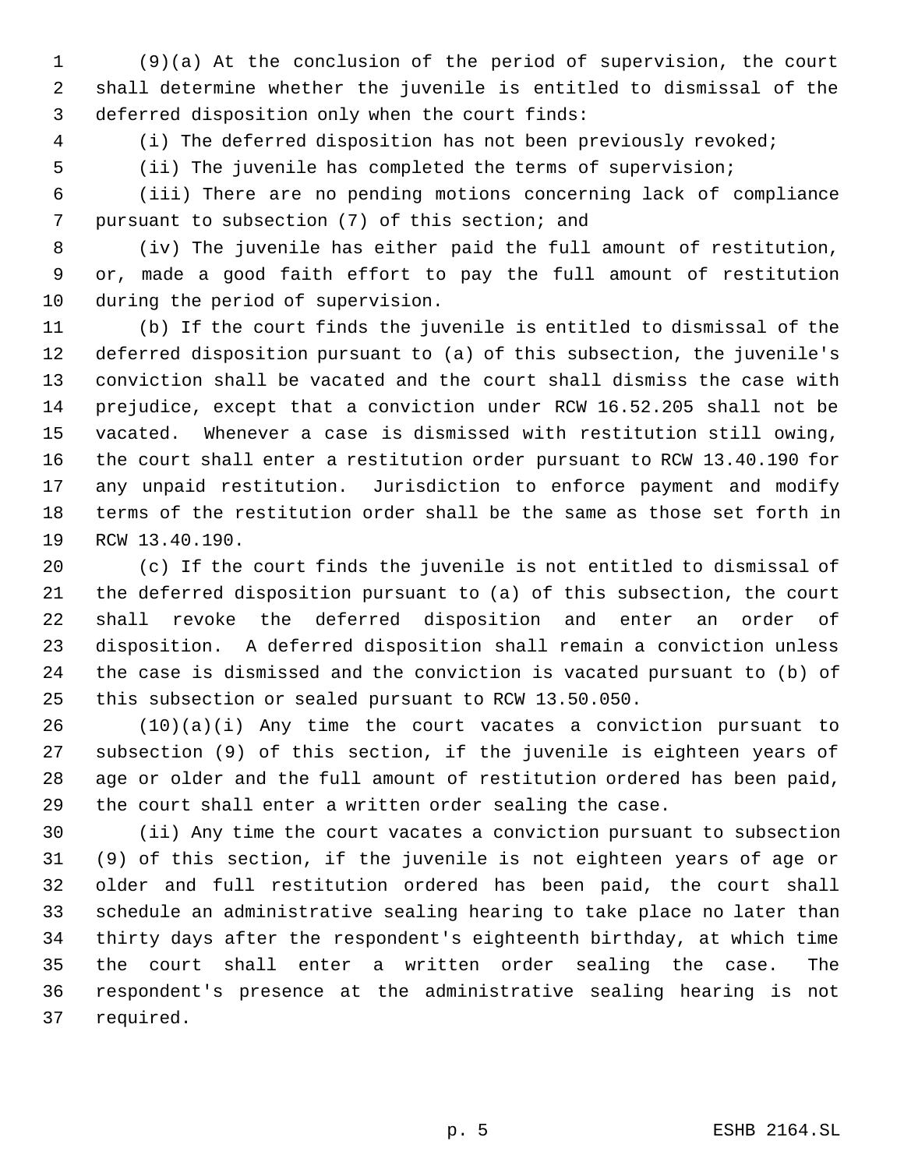(9)(a) At the conclusion of the period of supervision, the court shall determine whether the juvenile is entitled to dismissal of the deferred disposition only when the court finds:

(i) The deferred disposition has not been previously revoked;

(ii) The juvenile has completed the terms of supervision;

 (iii) There are no pending motions concerning lack of compliance pursuant to subsection (7) of this section; and

 (iv) The juvenile has either paid the full amount of restitution, or, made a good faith effort to pay the full amount of restitution during the period of supervision.

 (b) If the court finds the juvenile is entitled to dismissal of the deferred disposition pursuant to (a) of this subsection, the juvenile's conviction shall be vacated and the court shall dismiss the case with prejudice, except that a conviction under RCW 16.52.205 shall not be vacated. Whenever a case is dismissed with restitution still owing, the court shall enter a restitution order pursuant to RCW 13.40.190 for any unpaid restitution. Jurisdiction to enforce payment and modify terms of the restitution order shall be the same as those set forth in RCW 13.40.190.

 (c) If the court finds the juvenile is not entitled to dismissal of the deferred disposition pursuant to (a) of this subsection, the court shall revoke the deferred disposition and enter an order of disposition. A deferred disposition shall remain a conviction unless the case is dismissed and the conviction is vacated pursuant to (b) of this subsection or sealed pursuant to RCW 13.50.050.

 (10)(a)(i) Any time the court vacates a conviction pursuant to subsection (9) of this section, if the juvenile is eighteen years of age or older and the full amount of restitution ordered has been paid, the court shall enter a written order sealing the case.

 (ii) Any time the court vacates a conviction pursuant to subsection (9) of this section, if the juvenile is not eighteen years of age or older and full restitution ordered has been paid, the court shall schedule an administrative sealing hearing to take place no later than thirty days after the respondent's eighteenth birthday, at which time the court shall enter a written order sealing the case. The respondent's presence at the administrative sealing hearing is not required.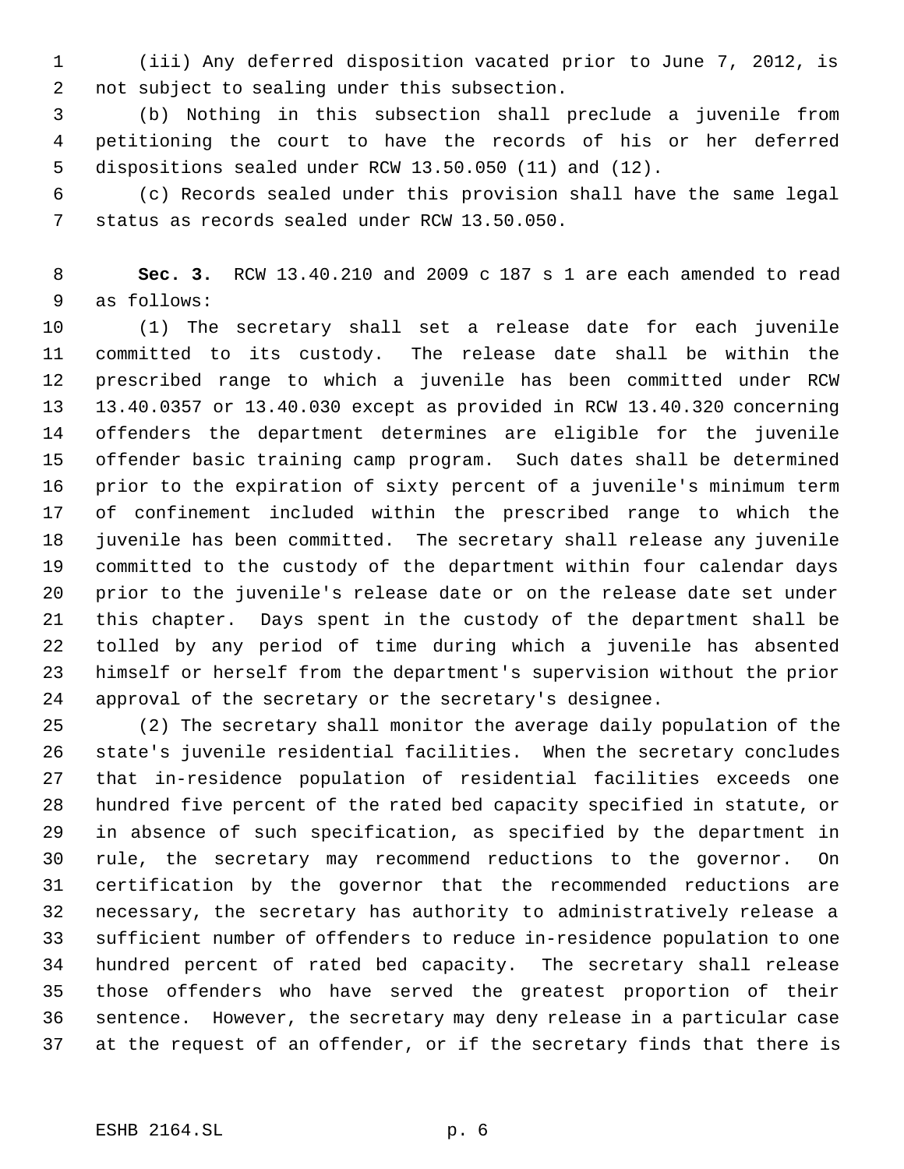(iii) Any deferred disposition vacated prior to June 7, 2012, is not subject to sealing under this subsection.

 (b) Nothing in this subsection shall preclude a juvenile from petitioning the court to have the records of his or her deferred dispositions sealed under RCW 13.50.050 (11) and (12).

 (c) Records sealed under this provision shall have the same legal status as records sealed under RCW 13.50.050.

 **Sec. 3.** RCW 13.40.210 and 2009 c 187 s 1 are each amended to read as follows:

 (1) The secretary shall set a release date for each juvenile committed to its custody. The release date shall be within the prescribed range to which a juvenile has been committed under RCW 13.40.0357 or 13.40.030 except as provided in RCW 13.40.320 concerning offenders the department determines are eligible for the juvenile offender basic training camp program. Such dates shall be determined prior to the expiration of sixty percent of a juvenile's minimum term of confinement included within the prescribed range to which the juvenile has been committed. The secretary shall release any juvenile committed to the custody of the department within four calendar days prior to the juvenile's release date or on the release date set under this chapter. Days spent in the custody of the department shall be tolled by any period of time during which a juvenile has absented himself or herself from the department's supervision without the prior approval of the secretary or the secretary's designee.

 (2) The secretary shall monitor the average daily population of the state's juvenile residential facilities. When the secretary concludes that in-residence population of residential facilities exceeds one hundred five percent of the rated bed capacity specified in statute, or in absence of such specification, as specified by the department in rule, the secretary may recommend reductions to the governor. On certification by the governor that the recommended reductions are necessary, the secretary has authority to administratively release a sufficient number of offenders to reduce in-residence population to one hundred percent of rated bed capacity. The secretary shall release those offenders who have served the greatest proportion of their sentence. However, the secretary may deny release in a particular case at the request of an offender, or if the secretary finds that there is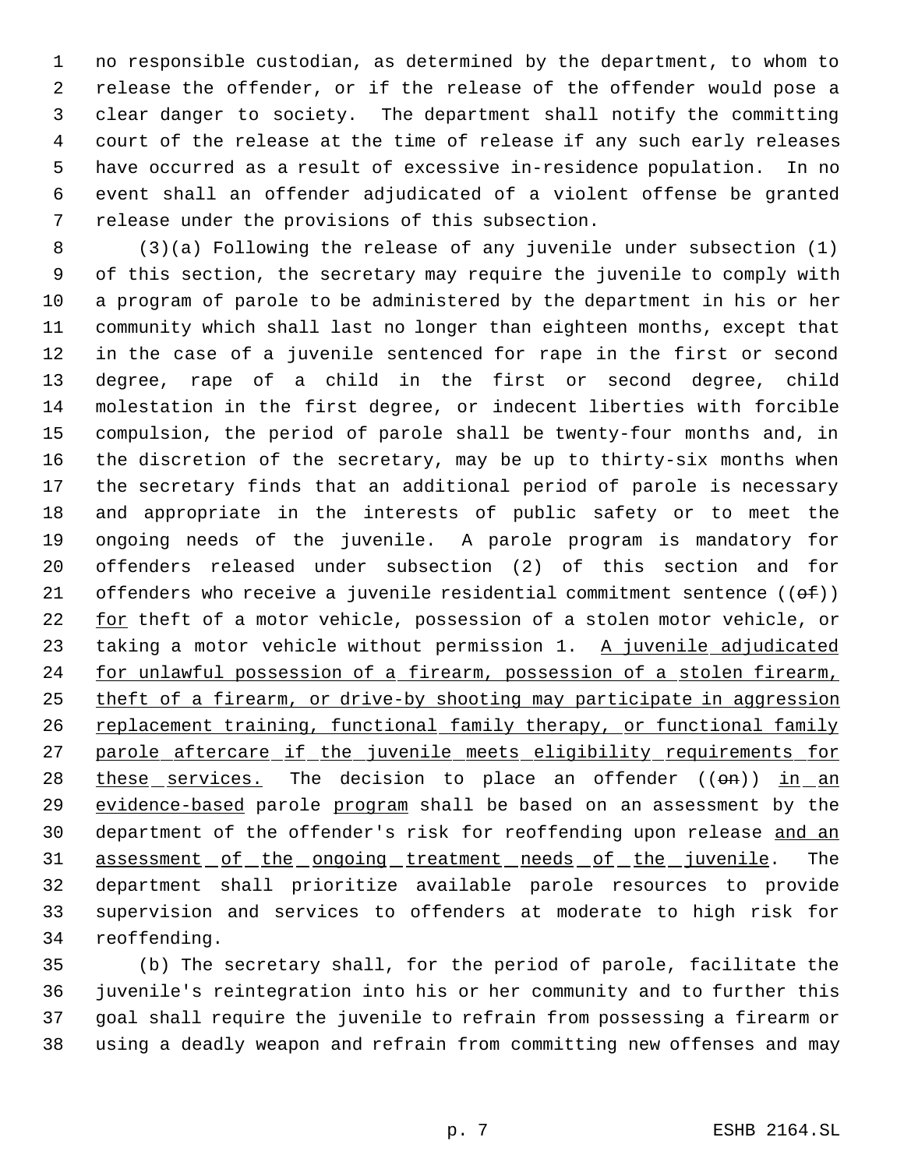no responsible custodian, as determined by the department, to whom to release the offender, or if the release of the offender would pose a clear danger to society. The department shall notify the committing court of the release at the time of release if any such early releases have occurred as a result of excessive in-residence population. In no event shall an offender adjudicated of a violent offense be granted release under the provisions of this subsection.

 (3)(a) Following the release of any juvenile under subsection (1) of this section, the secretary may require the juvenile to comply with a program of parole to be administered by the department in his or her community which shall last no longer than eighteen months, except that in the case of a juvenile sentenced for rape in the first or second degree, rape of a child in the first or second degree, child molestation in the first degree, or indecent liberties with forcible compulsion, the period of parole shall be twenty-four months and, in the discretion of the secretary, may be up to thirty-six months when the secretary finds that an additional period of parole is necessary and appropriate in the interests of public safety or to meet the ongoing needs of the juvenile. A parole program is mandatory for offenders released under subsection (2) of this section and for 21 offenders who receive a juvenile residential commitment sentence  $((\theta \hat{f}))$ 22 for theft of a motor vehicle, possession of a stolen motor vehicle, or 23 taking a motor vehicle without permission 1. A juvenile adjudicated 24 for unlawful possession of a firearm, possession of a stolen firearm, 25 theft of a firearm, or drive-by shooting may participate in aggression 26 replacement training, functional family therapy, or functional family 27 parole aftercare if the juvenile meets eligibility requirements for  $these$  services. The decision to place an offender  $((\Theta n))$  in an</u> 29 evidence-based parole program shall be based on an assessment by the 30 department of the offender's risk for reoffending upon release and an 31 assessment of the ongoing treatment needs of the juvenile. The department shall prioritize available parole resources to provide supervision and services to offenders at moderate to high risk for reoffending.

 (b) The secretary shall, for the period of parole, facilitate the juvenile's reintegration into his or her community and to further this goal shall require the juvenile to refrain from possessing a firearm or using a deadly weapon and refrain from committing new offenses and may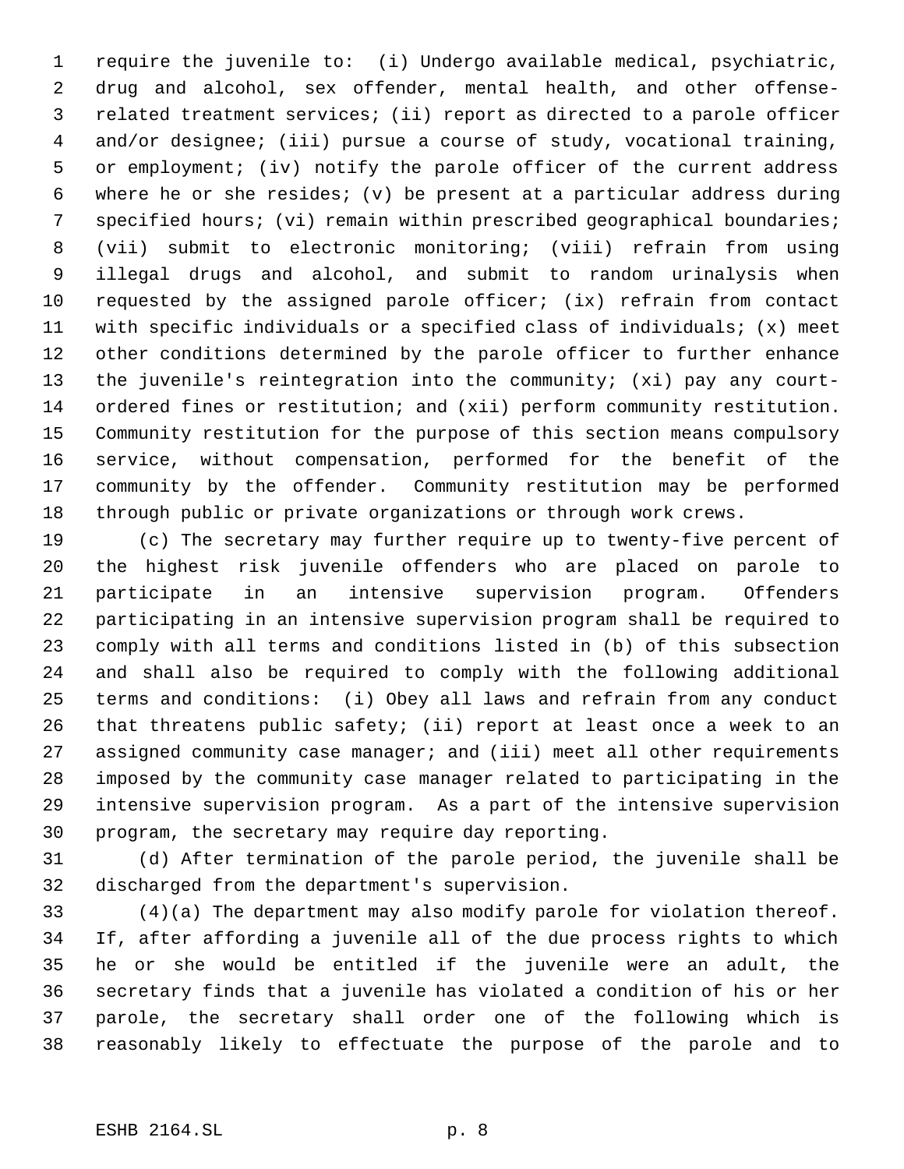require the juvenile to: (i) Undergo available medical, psychiatric, drug and alcohol, sex offender, mental health, and other offense- related treatment services; (ii) report as directed to a parole officer and/or designee; (iii) pursue a course of study, vocational training, or employment; (iv) notify the parole officer of the current address where he or she resides; (v) be present at a particular address during specified hours; (vi) remain within prescribed geographical boundaries; (vii) submit to electronic monitoring; (viii) refrain from using illegal drugs and alcohol, and submit to random urinalysis when requested by the assigned parole officer; (ix) refrain from contact with specific individuals or a specified class of individuals; (x) meet other conditions determined by the parole officer to further enhance the juvenile's reintegration into the community; (xi) pay any court- ordered fines or restitution; and (xii) perform community restitution. Community restitution for the purpose of this section means compulsory service, without compensation, performed for the benefit of the community by the offender. Community restitution may be performed through public or private organizations or through work crews.

 (c) The secretary may further require up to twenty-five percent of the highest risk juvenile offenders who are placed on parole to participate in an intensive supervision program. Offenders participating in an intensive supervision program shall be required to comply with all terms and conditions listed in (b) of this subsection and shall also be required to comply with the following additional terms and conditions: (i) Obey all laws and refrain from any conduct that threatens public safety; (ii) report at least once a week to an assigned community case manager; and (iii) meet all other requirements imposed by the community case manager related to participating in the intensive supervision program. As a part of the intensive supervision program, the secretary may require day reporting.

 (d) After termination of the parole period, the juvenile shall be discharged from the department's supervision.

 (4)(a) The department may also modify parole for violation thereof. If, after affording a juvenile all of the due process rights to which he or she would be entitled if the juvenile were an adult, the secretary finds that a juvenile has violated a condition of his or her parole, the secretary shall order one of the following which is reasonably likely to effectuate the purpose of the parole and to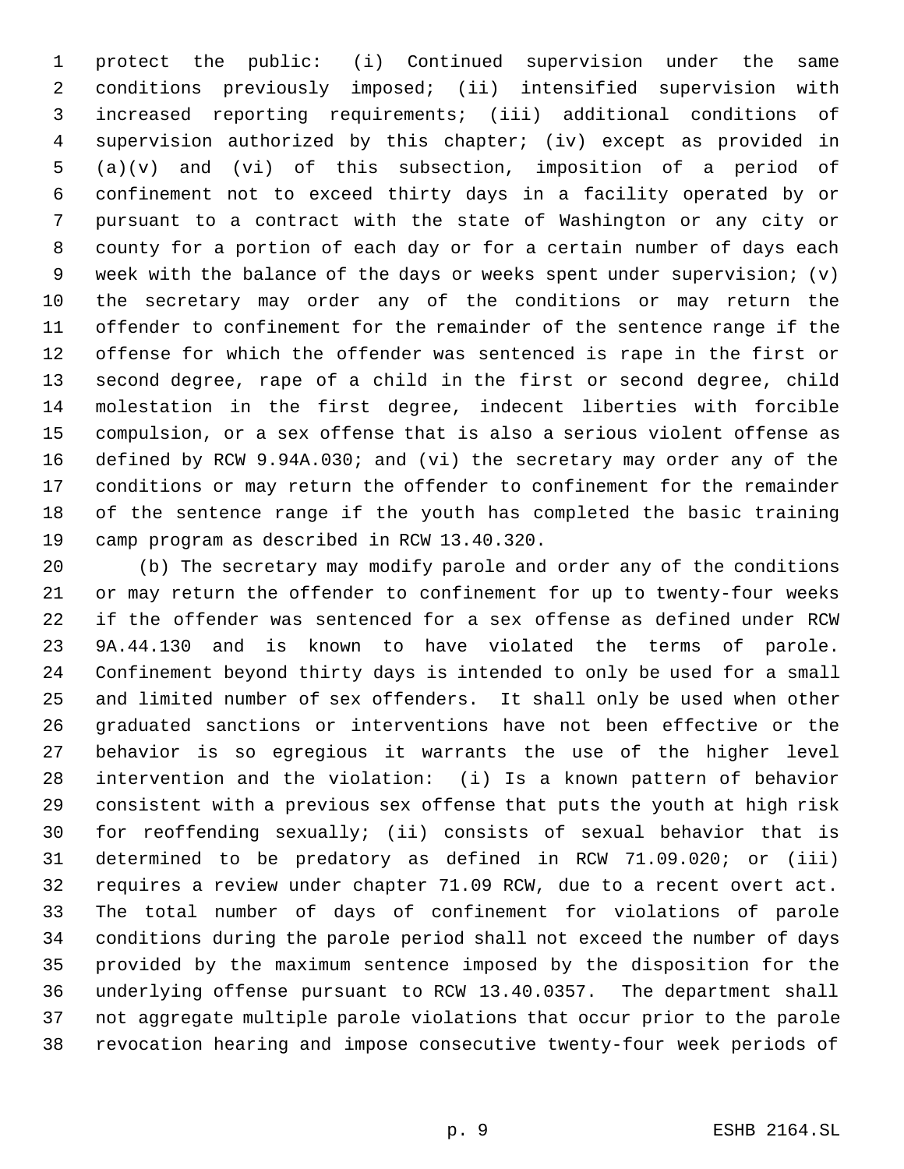protect the public: (i) Continued supervision under the same conditions previously imposed; (ii) intensified supervision with increased reporting requirements; (iii) additional conditions of supervision authorized by this chapter; (iv) except as provided in (a)(v) and (vi) of this subsection, imposition of a period of confinement not to exceed thirty days in a facility operated by or pursuant to a contract with the state of Washington or any city or county for a portion of each day or for a certain number of days each week with the balance of the days or weeks spent under supervision; (v) the secretary may order any of the conditions or may return the offender to confinement for the remainder of the sentence range if the offense for which the offender was sentenced is rape in the first or second degree, rape of a child in the first or second degree, child molestation in the first degree, indecent liberties with forcible compulsion, or a sex offense that is also a serious violent offense as defined by RCW 9.94A.030; and (vi) the secretary may order any of the conditions or may return the offender to confinement for the remainder of the sentence range if the youth has completed the basic training camp program as described in RCW 13.40.320.

 (b) The secretary may modify parole and order any of the conditions or may return the offender to confinement for up to twenty-four weeks if the offender was sentenced for a sex offense as defined under RCW 9A.44.130 and is known to have violated the terms of parole. Confinement beyond thirty days is intended to only be used for a small and limited number of sex offenders. It shall only be used when other graduated sanctions or interventions have not been effective or the behavior is so egregious it warrants the use of the higher level intervention and the violation: (i) Is a known pattern of behavior consistent with a previous sex offense that puts the youth at high risk for reoffending sexually; (ii) consists of sexual behavior that is determined to be predatory as defined in RCW 71.09.020; or (iii) requires a review under chapter 71.09 RCW, due to a recent overt act. The total number of days of confinement for violations of parole conditions during the parole period shall not exceed the number of days provided by the maximum sentence imposed by the disposition for the underlying offense pursuant to RCW 13.40.0357. The department shall not aggregate multiple parole violations that occur prior to the parole revocation hearing and impose consecutive twenty-four week periods of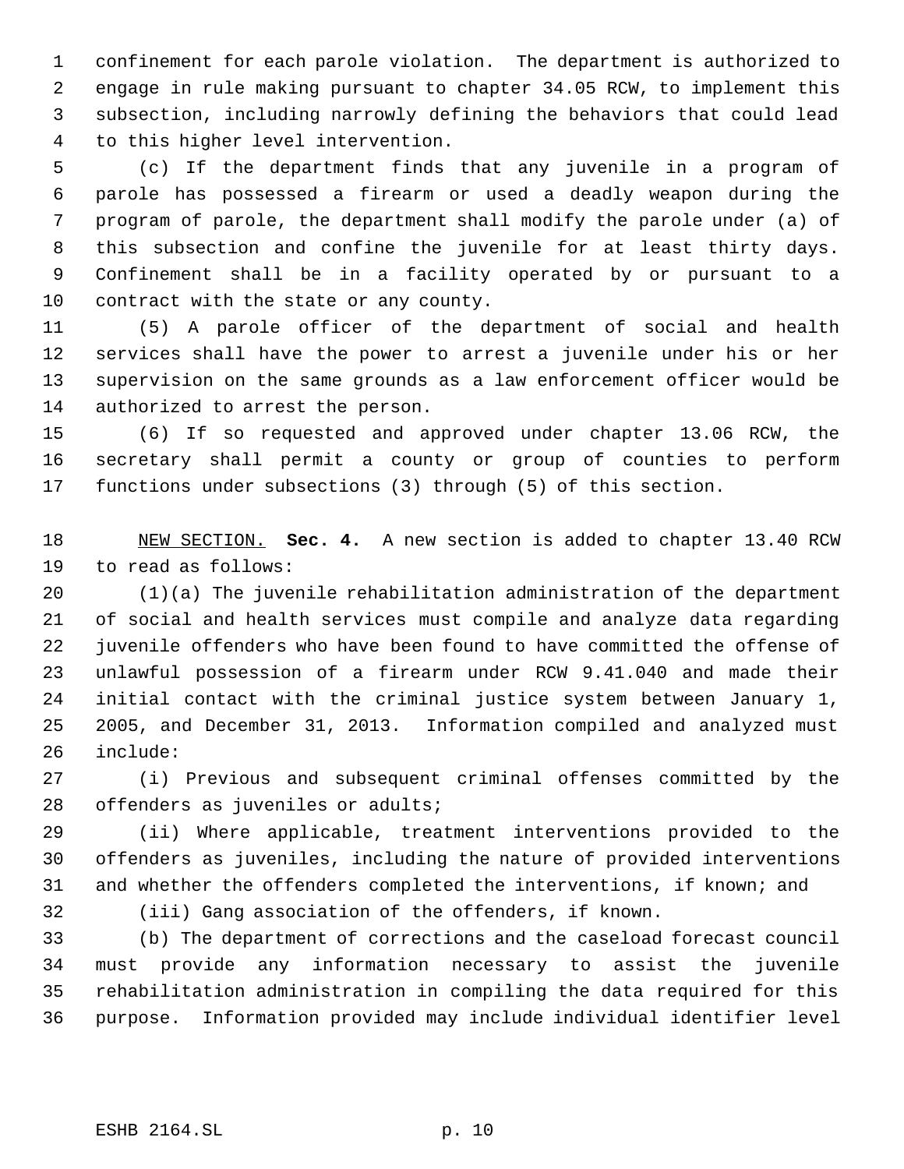confinement for each parole violation. The department is authorized to engage in rule making pursuant to chapter 34.05 RCW, to implement this subsection, including narrowly defining the behaviors that could lead to this higher level intervention.

 (c) If the department finds that any juvenile in a program of parole has possessed a firearm or used a deadly weapon during the program of parole, the department shall modify the parole under (a) of this subsection and confine the juvenile for at least thirty days. Confinement shall be in a facility operated by or pursuant to a contract with the state or any county.

 (5) A parole officer of the department of social and health services shall have the power to arrest a juvenile under his or her supervision on the same grounds as a law enforcement officer would be authorized to arrest the person.

 (6) If so requested and approved under chapter 13.06 RCW, the secretary shall permit a county or group of counties to perform functions under subsections (3) through (5) of this section.

 NEW SECTION. **Sec. 4.** A new section is added to chapter 13.40 RCW to read as follows:

 (1)(a) The juvenile rehabilitation administration of the department of social and health services must compile and analyze data regarding juvenile offenders who have been found to have committed the offense of unlawful possession of a firearm under RCW 9.41.040 and made their initial contact with the criminal justice system between January 1, 2005, and December 31, 2013. Information compiled and analyzed must include:

 (i) Previous and subsequent criminal offenses committed by the 28 offenders as juveniles or adults;

 (ii) Where applicable, treatment interventions provided to the offenders as juveniles, including the nature of provided interventions and whether the offenders completed the interventions, if known; and

(iii) Gang association of the offenders, if known.

 (b) The department of corrections and the caseload forecast council must provide any information necessary to assist the juvenile rehabilitation administration in compiling the data required for this purpose. Information provided may include individual identifier level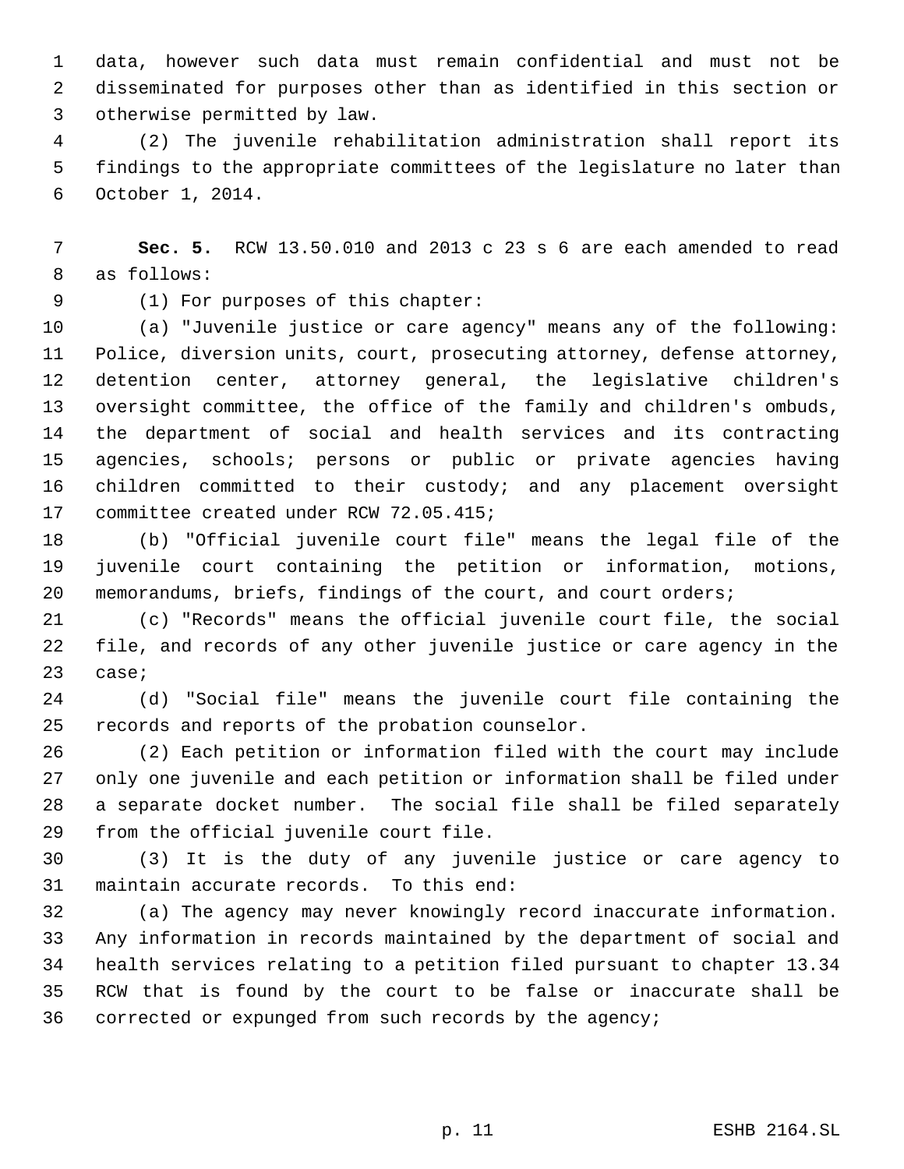data, however such data must remain confidential and must not be disseminated for purposes other than as identified in this section or otherwise permitted by law.

 (2) The juvenile rehabilitation administration shall report its findings to the appropriate committees of the legislature no later than October 1, 2014.

 **Sec. 5.** RCW 13.50.010 and 2013 c 23 s 6 are each amended to read as follows:

(1) For purposes of this chapter:

 (a) "Juvenile justice or care agency" means any of the following: Police, diversion units, court, prosecuting attorney, defense attorney, detention center, attorney general, the legislative children's oversight committee, the office of the family and children's ombuds, the department of social and health services and its contracting agencies, schools; persons or public or private agencies having children committed to their custody; and any placement oversight committee created under RCW 72.05.415;

 (b) "Official juvenile court file" means the legal file of the juvenile court containing the petition or information, motions, memorandums, briefs, findings of the court, and court orders;

 (c) "Records" means the official juvenile court file, the social file, and records of any other juvenile justice or care agency in the case;

 (d) "Social file" means the juvenile court file containing the records and reports of the probation counselor.

 (2) Each petition or information filed with the court may include only one juvenile and each petition or information shall be filed under a separate docket number. The social file shall be filed separately from the official juvenile court file.

 (3) It is the duty of any juvenile justice or care agency to maintain accurate records. To this end:

 (a) The agency may never knowingly record inaccurate information. Any information in records maintained by the department of social and health services relating to a petition filed pursuant to chapter 13.34 RCW that is found by the court to be false or inaccurate shall be corrected or expunged from such records by the agency;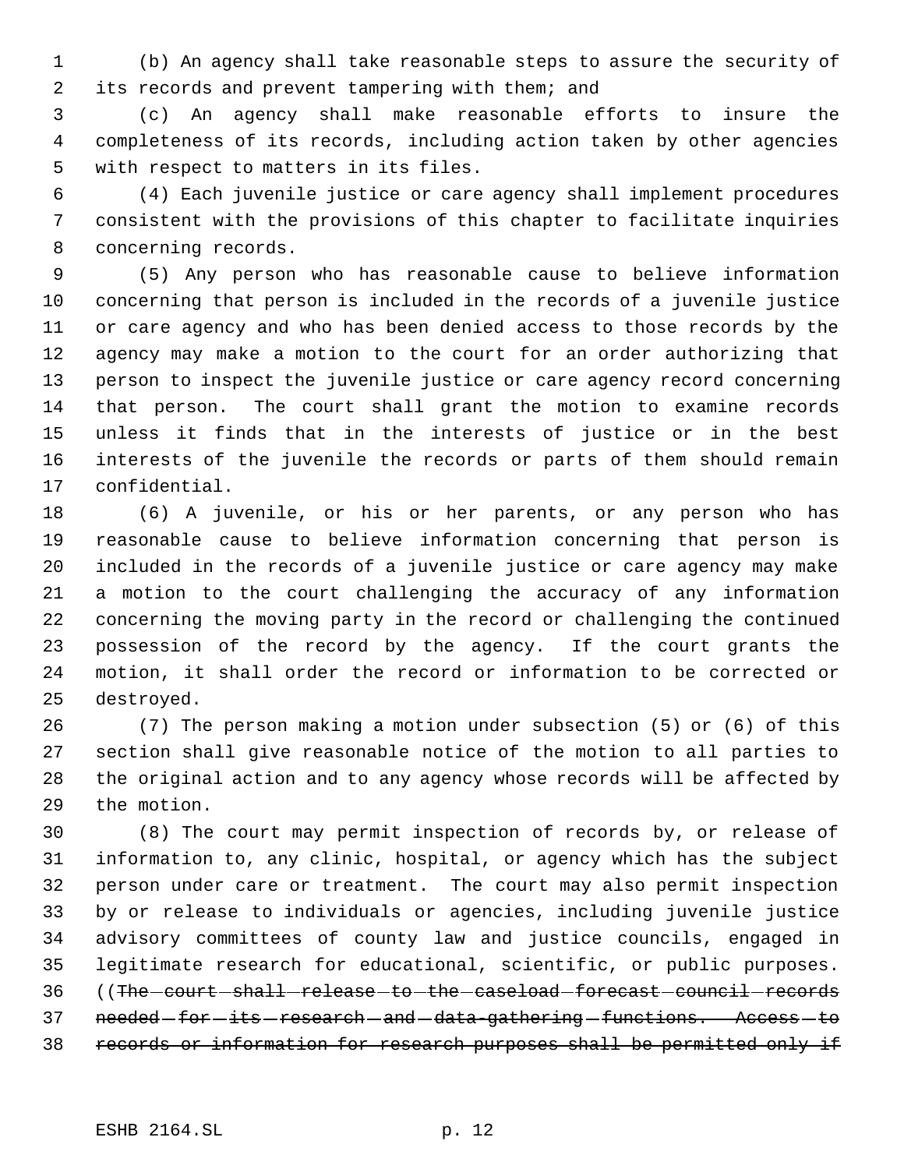(b) An agency shall take reasonable steps to assure the security of its records and prevent tampering with them; and

 (c) An agency shall make reasonable efforts to insure the completeness of its records, including action taken by other agencies with respect to matters in its files.

 (4) Each juvenile justice or care agency shall implement procedures consistent with the provisions of this chapter to facilitate inquiries concerning records.

 (5) Any person who has reasonable cause to believe information concerning that person is included in the records of a juvenile justice or care agency and who has been denied access to those records by the agency may make a motion to the court for an order authorizing that person to inspect the juvenile justice or care agency record concerning that person. The court shall grant the motion to examine records unless it finds that in the interests of justice or in the best interests of the juvenile the records or parts of them should remain confidential.

 (6) A juvenile, or his or her parents, or any person who has reasonable cause to believe information concerning that person is included in the records of a juvenile justice or care agency may make a motion to the court challenging the accuracy of any information concerning the moving party in the record or challenging the continued possession of the record by the agency. If the court grants the motion, it shall order the record or information to be corrected or destroyed.

 (7) The person making a motion under subsection (5) or (6) of this section shall give reasonable notice of the motion to all parties to the original action and to any agency whose records will be affected by the motion.

 (8) The court may permit inspection of records by, or release of information to, any clinic, hospital, or agency which has the subject person under care or treatment. The court may also permit inspection by or release to individuals or agencies, including juvenile justice advisory committees of county law and justice councils, engaged in legitimate research for educational, scientific, or public purposes. 36 ((The -court -shall -release -to -the -caseload -forecast -council -records 37 needed -for -its -research - and -data-gathering -functions. Access - to records or information for research purposes shall be permitted only if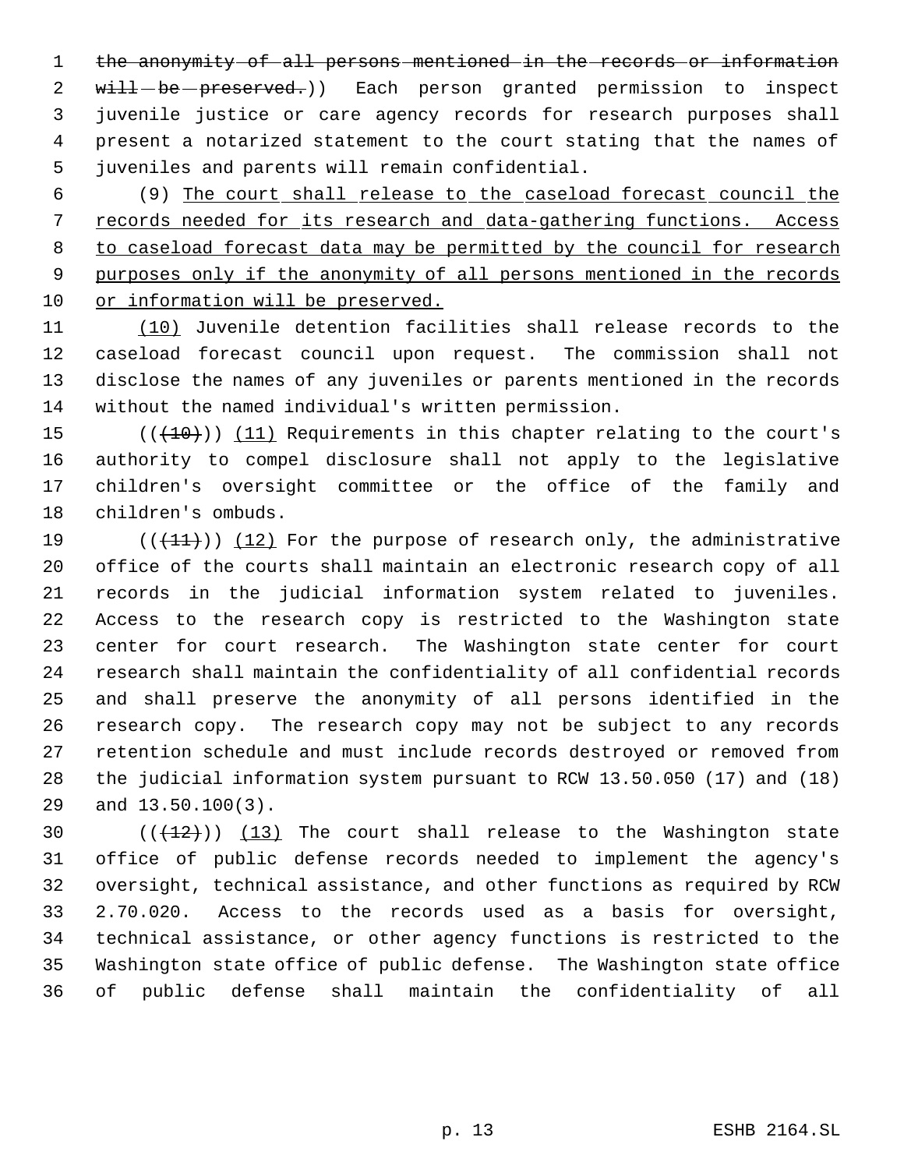1 the anonymity of all persons mentioned in the records or information 2 will-be-preserved.)) Each person granted permission to inspect juvenile justice or care agency records for research purposes shall present a notarized statement to the court stating that the names of juveniles and parents will remain confidential.

 (9) The court shall release to the caseload forecast council the records needed for its research and data-gathering functions. Access 8 to caseload forecast data may be permitted by the council for research 9 purposes only if the anonymity of all persons mentioned in the records or information will be preserved.

 (10) Juvenile detention facilities shall release records to the caseload forecast council upon request. The commission shall not disclose the names of any juveniles or parents mentioned in the records without the named individual's written permission.

 $((+10))$   $(11)$  Requirements in this chapter relating to the court's authority to compel disclosure shall not apply to the legislative children's oversight committee or the office of the family and children's ombuds.

 $((+11))$   $(12)$  For the purpose of research only, the administrative office of the courts shall maintain an electronic research copy of all records in the judicial information system related to juveniles. Access to the research copy is restricted to the Washington state center for court research. The Washington state center for court research shall maintain the confidentiality of all confidential records and shall preserve the anonymity of all persons identified in the research copy. The research copy may not be subject to any records retention schedule and must include records destroyed or removed from the judicial information system pursuant to RCW 13.50.050 (17) and (18) and 13.50.100(3).

 $((+12))$   $(13)$  The court shall release to the Washington state office of public defense records needed to implement the agency's oversight, technical assistance, and other functions as required by RCW 2.70.020. Access to the records used as a basis for oversight, technical assistance, or other agency functions is restricted to the Washington state office of public defense. The Washington state office of public defense shall maintain the confidentiality of all